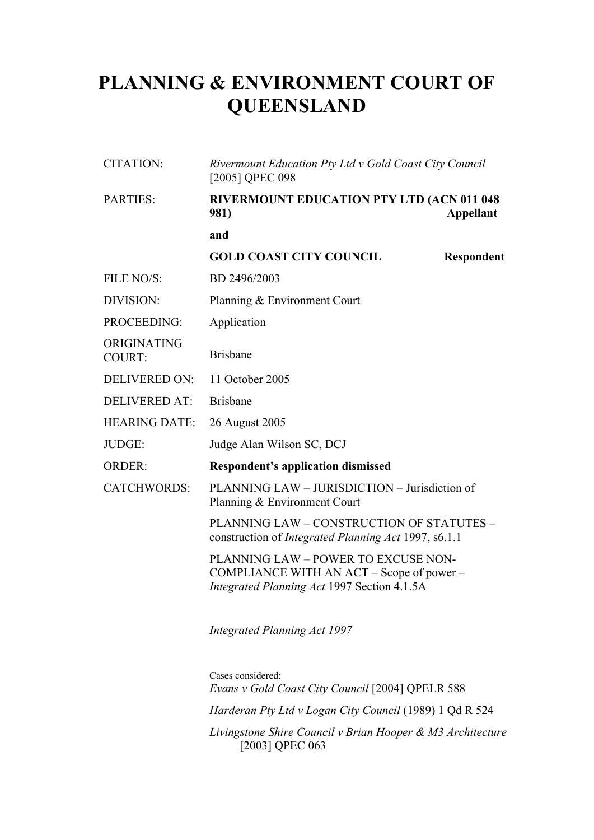## **PLANNING & ENVIRONMENT COURT OF QUEENSLAND**

| <b>CITATION:</b>             | Rivermount Education Pty Ltd v Gold Coast City Council<br>[2005] QPEC 098                                                       |  |
|------------------------------|---------------------------------------------------------------------------------------------------------------------------------|--|
| <b>PARTIES:</b>              | RIVERMOUNT EDUCATION PTY LTD (ACN 011 048<br><b>981</b> )<br><b>Appellant</b>                                                   |  |
|                              | and                                                                                                                             |  |
|                              | <b>GOLD COAST CITY COUNCIL</b><br><b>Respondent</b>                                                                             |  |
| FILE NO/S:                   | BD 2496/2003                                                                                                                    |  |
| <b>DIVISION:</b>             | Planning & Environment Court                                                                                                    |  |
| PROCEEDING:                  | Application                                                                                                                     |  |
| ORIGINATING<br><b>COURT:</b> | <b>Brisbane</b>                                                                                                                 |  |
| <b>DELIVERED ON:</b>         | 11 October 2005                                                                                                                 |  |
| <b>DELIVERED AT:</b>         | <b>Brisbane</b>                                                                                                                 |  |
| <b>HEARING DATE:</b>         | 26 August 2005                                                                                                                  |  |
| JUDGE:                       | Judge Alan Wilson SC, DCJ                                                                                                       |  |
| <b>ORDER:</b>                | <b>Respondent's application dismissed</b>                                                                                       |  |
| <b>CATCHWORDS:</b>           | PLANNING LAW - JURISDICTION - Jurisdiction of<br>Planning & Environment Court                                                   |  |
|                              | PLANNING LAW - CONSTRUCTION OF STATUTES -<br>construction of <i>Integrated Planning Act</i> 1997, s6.1.1                        |  |
|                              | PLANNING LAW - POWER TO EXCUSE NON-<br>COMPLIANCE WITH AN ACT – Scope of power –<br>Integrated Planning Act 1997 Section 4.1.5A |  |
|                              | <b>Integrated Planning Act 1997</b>                                                                                             |  |
|                              | Cases considered:<br>Evans v Gold Coast City Council [2004] QPELR 588                                                           |  |
|                              | Harderan Pty Ltd v Logan City Council (1989) 1 Qd R 524                                                                         |  |
|                              | Livingstone Shire Council v Brian Hooper & M3 Architecture                                                                      |  |

[2003] QPEC 063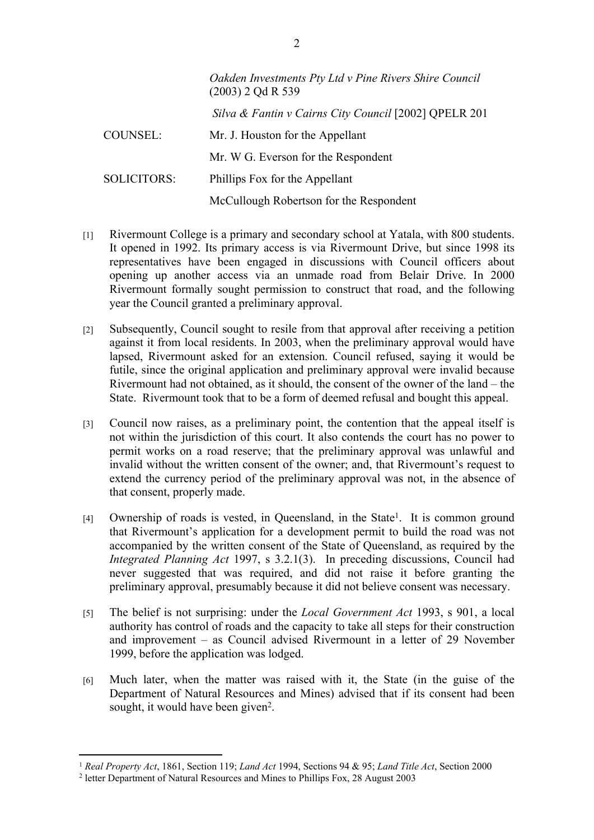|                    | Oakden Investments Pty Ltd v Pine Rivers Shire Council<br>$(2003)$ 2 Qd R 539 |
|--------------------|-------------------------------------------------------------------------------|
|                    | Silva & Fantin v Cairns City Council [2002] QPELR 201                         |
| COUNSEL:           | Mr. J. Houston for the Appellant                                              |
|                    | Mr. W G. Everson for the Respondent                                           |
| <b>SOLICITORS:</b> | Phillips Fox for the Appellant                                                |
|                    | McCullough Robertson for the Respondent                                       |

- [1] Rivermount College is a primary and secondary school at Yatala, with 800 students. It opened in 1992. Its primary access is via Rivermount Drive, but since 1998 its representatives have been engaged in discussions with Council officers about opening up another access via an unmade road from Belair Drive. In 2000 Rivermount formally sought permission to construct that road, and the following year the Council granted a preliminary approval.
- [2] Subsequently, Council sought to resile from that approval after receiving a petition against it from local residents. In 2003, when the preliminary approval would have lapsed, Rivermount asked for an extension. Council refused, saying it would be futile, since the original application and preliminary approval were invalid because Rivermount had not obtained, as it should, the consent of the owner of the land – the State. Rivermount took that to be a form of deemed refusal and bought this appeal.
- [3] Council now raises, as a preliminary point, the contention that the appeal itself is not within the jurisdiction of this court. It also contends the court has no power to permit works on a road reserve; that the preliminary approval was unlawful and invalid without the written consent of the owner; and, that Rivermount's request to extend the currency period of the preliminary approval was not, in the absence of that consent, properly made.
- [4] Ownership of roads is vested, in Queensland, in the State<sup>1</sup>. It is common ground that Rivermount's application for a development permit to build the road was not accompanied by the written consent of the State of Queensland, as required by the *Integrated Planning Act* 1997, s 3.2.1(3). In preceding discussions, Council had never suggested that was required, and did not raise it before granting the preliminary approval, presumably because it did not believe consent was necessary.
- [5] The belief is not surprising: under the *Local Government Act* 1993, s 901, a local authority has control of roads and the capacity to take all steps for their construction and improvement – as Council advised Rivermount in a letter of 29 November 1999, before the application was lodged.
- [6] Much later, when the matter was raised with it, the State (in the guise of the Department of Natural Resources and Mines) advised that if its consent had been sought, it would have been given<sup>2</sup>.

<sup>1</sup> *Real Property Act*, 1861, Section 119; *Land Act* 1994, Sections 94 & 95; *Land Title Act*, Section 2000

<sup>2</sup> letter Department of Natural Resources and Mines to Phillips Fox, 28 August 2003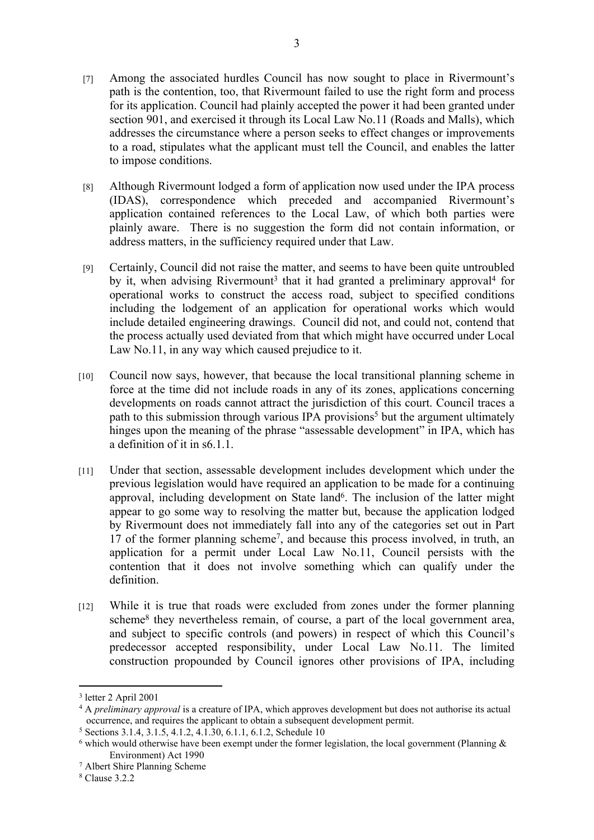- [8] Although Rivermount lodged a form of application now used under the IPA process (IDAS), correspondence which preceded and accompanied Rivermount's application contained references to the Local Law, of which both parties were plainly aware. There is no suggestion the form did not contain information, or address matters, in the sufficiency required under that Law.
- [9] Certainly, Council did not raise the matter, and seems to have been quite untroubled by it, when advising Rivermount<sup>3</sup> that it had granted a preliminary approval<sup>4</sup> for operational works to construct the access road, subject to specified conditions including the lodgement of an application for operational works which would include detailed engineering drawings. Council did not, and could not, contend that the process actually used deviated from that which might have occurred under Local Law No.11, in any way which caused prejudice to it.
- [10] Council now says, however, that because the local transitional planning scheme in force at the time did not include roads in any of its zones, applications concerning developments on roads cannot attract the jurisdiction of this court. Council traces a path to this submission through various IPA provisions<sup>5</sup> but the argument ultimately hinges upon the meaning of the phrase "assessable development" in IPA, which has a definition of it in s6.1.1.
- [11] Under that section, assessable development includes development which under the previous legislation would have required an application to be made for a continuing approval, including development on State land<sup>6</sup>. The inclusion of the latter might appear to go some way to resolving the matter but, because the application lodged by Rivermount does not immediately fall into any of the categories set out in Part 17 of the former planning scheme<sup>7</sup> , and because this process involved, in truth, an application for a permit under Local Law No.11, Council persists with the contention that it does not involve something which can qualify under the definition.
- [12] While it is true that roads were excluded from zones under the former planning scheme<sup>8</sup> they nevertheless remain, of course, a part of the local government area, and subject to specific controls (and powers) in respect of which this Council's predecessor accepted responsibility, under Local Law No.11. The limited construction propounded by Council ignores other provisions of IPA, including

<sup>3</sup> letter 2 April 2001

<sup>4</sup> A *preliminary approval* is a creature of IPA, which approves development but does not authorise its actual occurrence, and requires the applicant to obtain a subsequent development permit.

<sup>5</sup> Sections 3.1.4, 3.1.5, 4.1.2, 4.1.30, 6.1.1, 6.1.2, Schedule 10

 $6$  which would otherwise have been exempt under the former legislation, the local government (Planning  $\&$ Environment) Act 1990

<sup>7</sup> Albert Shire Planning Scheme

<sup>8</sup> Clause 3.2.2